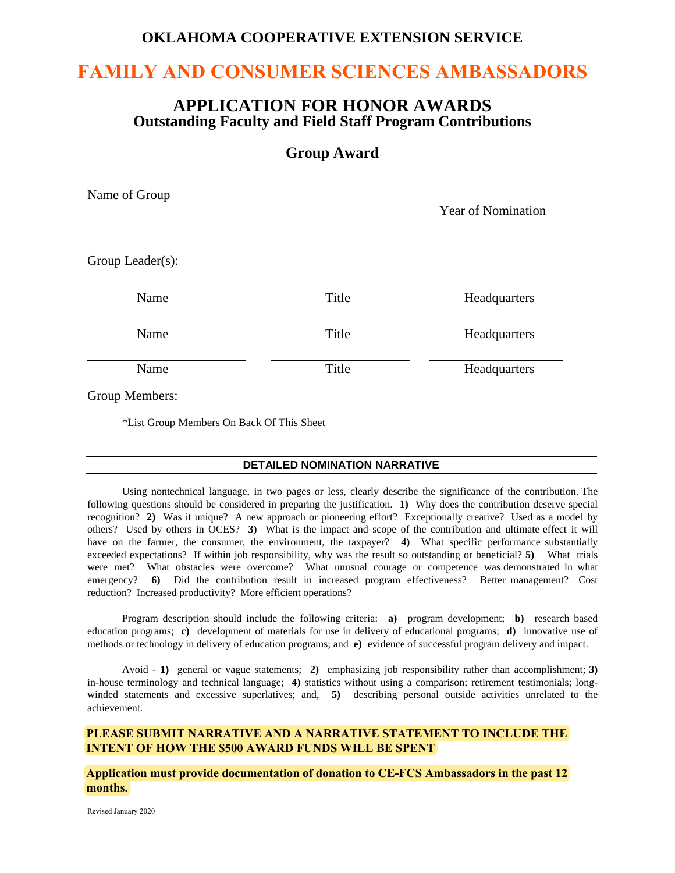## **OKLAHOMA COOPERATIVE EXTENSION SERVICE**

# **FAMILY AND CONSUMER SCIENCES AMBASSADORS**

### **APPLICATION FOR HONOR AWARDS Outstanding Faculty and Field Staff Program Contributions**

### **Group Award**

| Name of Group    |       | <b>Year of Nomination</b> |
|------------------|-------|---------------------------|
| Group Leader(s): |       |                           |
| Name             | Title | Headquarters              |
| Name             | Title | Headquarters              |
| Name             | Title | Headquarters              |
| Group Members:   |       |                           |

\*List Group Members On Back Of This Sheet

#### **DETAILED NOMINATION NARRATIVE**

Using nontechnical language, in two pages or less, clearly describe the significance of the contribution. The following questions should be considered in preparing the justification. **1)** Why does the contribution deserve special recognition? **2)** Was it unique? A new approach or pioneering effort? Exceptionally creative? Used as a model by others? Used by others in OCES? **3)** What is the impact and scope of the contribution and ultimate effect it will have on the farmer, the consumer, the environment, the taxpayer? **4**) What specific performance substantially exceeded expectations? If within job responsibility, why was the result so outstanding or beneficial? **5)** What trials were met? What obstacles were overcome? What unusual courage or competence was demonstrated in what emergency? **6)** Did the contribution result in increased program effectiveness? Better management? Cost reduction? Increased productivity? More efficient operations?

Program description should include the following criteria: **a)** program development; **b)** research based education programs; **c)** development of materials for use in delivery of educational programs; **d)** innovative use of methods or technology in delivery of education programs; and **e)** evidence of successful program delivery and impact.

Avoid - **1)** general or vague statements; **2)** emphasizing job responsibility rather than accomplishment; **3)** in-house terminology and technical language; **4)** statistics without using a comparison; retirement testimonials; longwinded statements and excessive superlatives; and, 5) describing personal outside activities unrelated to the achievement.

#### **PLEASE SUBMIT NARRATIVE AND A NARRATIVE STATEMENT TO INCLUDE THE INTENT OF HOW THE \$500 AWARD FUNDS WILL BE SPENT**

**Application must provide documentation of donation to CE-FCS Ambassadors in the past 12 months.**